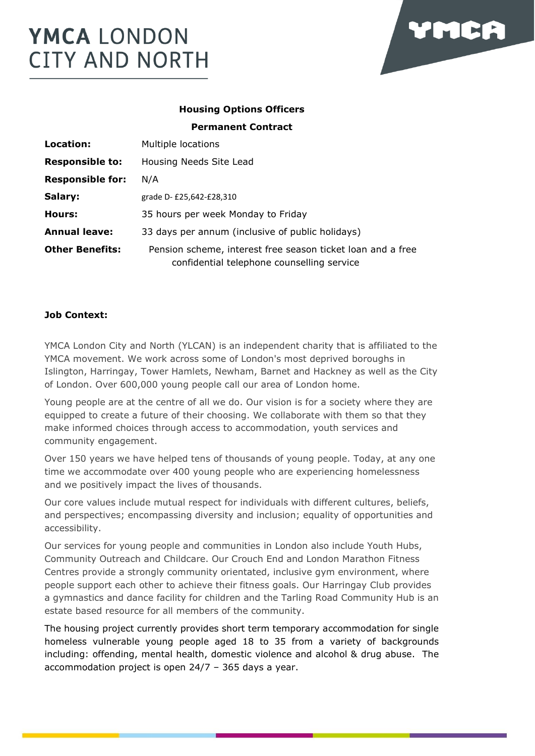

# **Housing Options Officers Permanent Contract**

| Location:               | Multiple locations                                                                                        |
|-------------------------|-----------------------------------------------------------------------------------------------------------|
| <b>Responsible to:</b>  | Housing Needs Site Lead                                                                                   |
| <b>Responsible for:</b> | N/A                                                                                                       |
| Salary:                 | grade D- £25,642-£28,310                                                                                  |
| Hours:                  | 35 hours per week Monday to Friday                                                                        |
| <b>Annual leave:</b>    | 33 days per annum (inclusive of public holidays)                                                          |
| <b>Other Benefits:</b>  | Pension scheme, interest free season ticket loan and a free<br>confidential telephone counselling service |

# **Job Context:**

YMCA London City and North (YLCAN) is an independent charity that is affiliated to the YMCA movement. We work across some of London's most deprived boroughs in Islington, Harringay, Tower Hamlets, Newham, Barnet and Hackney as well as the City of London. Over 600,000 young people call our area of London home.

Young people are at the centre of all we do. Our vision is for a society where they are equipped to create a future of their choosing. We collaborate with them so that they make informed choices through access to accommodation, youth services and community engagement.

Over 150 years we have helped tens of thousands of young people. Today, at any one time we accommodate over 400 young people who are experiencing homelessness and we positively impact the lives of thousands.

Our core values include mutual respect for individuals with different cultures, beliefs, and perspectives; encompassing diversity and inclusion; equality of opportunities and accessibility.

Our services for young people and communities in London also include Youth Hubs, Community Outreach and Childcare. Our Crouch End and London Marathon Fitness Centres provide a strongly community orientated, inclusive gym environment, where people support each other to achieve their fitness goals. Our Harringay Club provides a gymnastics and dance facility for children and the Tarling Road Community Hub is an estate based resource for all members of the community.

The housing project currently provides short term temporary accommodation for single homeless vulnerable young people aged 18 to 35 from a variety of backgrounds including: offending, mental health, domestic violence and alcohol & drug abuse. The accommodation project is open 24/7 – 365 days a year.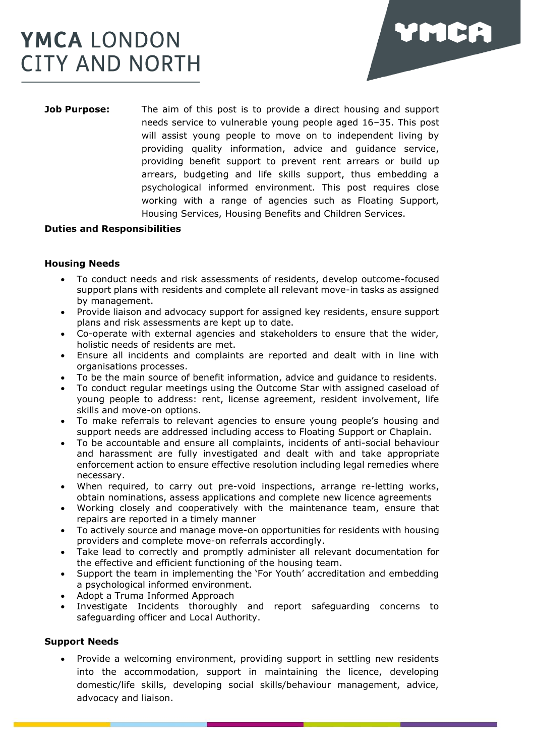

**Job Purpose:** The aim of this post is to provide a direct housing and support needs service to vulnerable young people aged 16–35. This post will assist young people to move on to independent living by providing quality information, advice and guidance service, providing benefit support to prevent rent arrears or build up arrears, budgeting and life skills support, thus embedding a psychological informed environment. This post requires close working with a range of agencies such as Floating Support, Housing Services, Housing Benefits and Children Services.

#### **Duties and Responsibilities**

### **Housing Needs**

- To conduct needs and risk assessments of residents, develop outcome-focused support plans with residents and complete all relevant move-in tasks as assigned by management.
- Provide liaison and advocacy support for assigned key residents, ensure support plans and risk assessments are kept up to date.
- Co-operate with external agencies and stakeholders to ensure that the wider, holistic needs of residents are met.
- Ensure all incidents and complaints are reported and dealt with in line with organisations processes.
- To be the main source of benefit information, advice and guidance to residents.
- To conduct regular meetings using the Outcome Star with assigned caseload of young people to address: rent, license agreement, resident involvement, life skills and move-on options.
- To make referrals to relevant agencies to ensure young people's housing and support needs are addressed including access to Floating Support or Chaplain.
- To be accountable and ensure all complaints, incidents of anti-social behaviour and harassment are fully investigated and dealt with and take appropriate enforcement action to ensure effective resolution including legal remedies where necessary.
- When required, to carry out pre-void inspections, arrange re-letting works, obtain nominations, assess applications and complete new licence agreements
- Working closely and cooperatively with the maintenance team, ensure that repairs are reported in a timely manner
- To actively source and manage move-on opportunities for residents with housing providers and complete move-on referrals accordingly.
- Take lead to correctly and promptly administer all relevant documentation for the effective and efficient functioning of the housing team.
- Support the team in implementing the 'For Youth' accreditation and embedding a psychological informed environment.
- Adopt a Truma Informed Approach
- Investigate Incidents thoroughly and report safeguarding concerns to safeguarding officer and Local Authority.

#### **Support Needs**

• Provide a welcoming environment, providing support in settling new residents into the accommodation, support in maintaining the licence, developing domestic/life skills, developing social skills/behaviour management, advice, advocacy and liaison.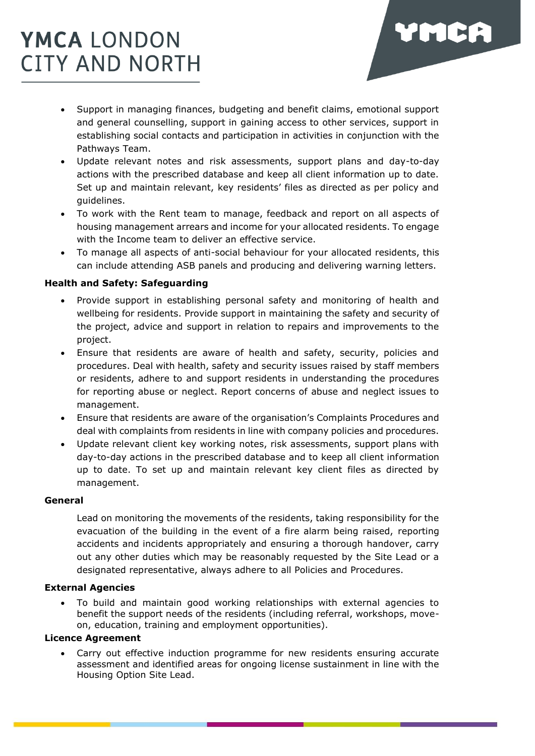

VMCA

- Update relevant notes and risk assessments, support plans and day-to-day actions with the prescribed database and keep all client information up to date. Set up and maintain relevant, key residents' files as directed as per policy and guidelines.
- To work with the Rent team to manage, feedback and report on all aspects of housing management arrears and income for your allocated residents. To engage with the Income team to deliver an effective service.
- To manage all aspects of anti-social behaviour for your allocated residents, this can include attending ASB panels and producing and delivering warning letters.

### **Health and Safety: Safeguarding**

- Provide support in establishing personal safety and monitoring of health and wellbeing for residents. Provide support in maintaining the safety and security of the project, advice and support in relation to repairs and improvements to the project.
- Ensure that residents are aware of health and safety, security, policies and procedures. Deal with health, safety and security issues raised by staff members or residents, adhere to and support residents in understanding the procedures for reporting abuse or neglect. Report concerns of abuse and neglect issues to management.
- Ensure that residents are aware of the organisation's Complaints Procedures and deal with complaints from residents in line with company policies and procedures.
- Update relevant client key working notes, risk assessments, support plans with day-to-day actions in the prescribed database and to keep all client information up to date. To set up and maintain relevant key client files as directed by management.

#### **General**

Lead on monitoring the movements of the residents, taking responsibility for the evacuation of the building in the event of a fire alarm being raised, reporting accidents and incidents appropriately and ensuring a thorough handover, carry out any other duties which may be reasonably requested by the Site Lead or a designated representative, always adhere to all Policies and Procedures.

### **External Agencies**

• To build and maintain good working relationships with external agencies to benefit the support needs of the residents (including referral, workshops, moveon, education, training and employment opportunities).

#### **Licence Agreement**

Carry out effective induction programme for new residents ensuring accurate assessment and identified areas for ongoing license sustainment in line with the Housing Option Site Lead.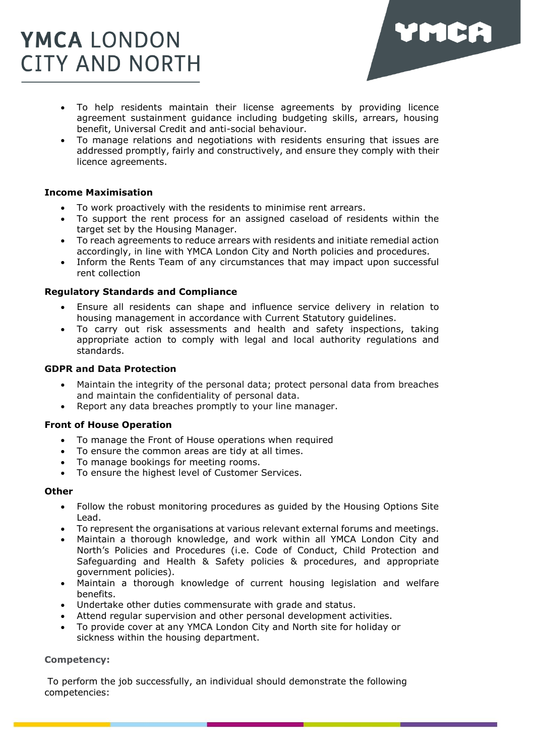

- To help residents maintain their license agreements by providing licence agreement sustainment guidance including budgeting skills, arrears, housing benefit, Universal Credit and anti-social behaviour.
- To manage relations and negotiations with residents ensuring that issues are addressed promptly, fairly and constructively, and ensure they comply with their licence agreements.

### **Income Maximisation**

- To work proactively with the residents to minimise rent arrears.
- To support the rent process for an assigned caseload of residents within the target set by the Housing Manager.
- To reach agreements to reduce arrears with residents and initiate remedial action accordingly, in line with YMCA London City and North policies and procedures.
- Inform the Rents Team of any circumstances that may impact upon successful rent collection

### **Regulatory Standards and Compliance**

- Ensure all residents can shape and influence service delivery in relation to housing management in accordance with Current Statutory guidelines.
- To carry out risk assessments and health and safety inspections, taking appropriate action to comply with legal and local authority regulations and standards.

### **GDPR and Data Protection**

- Maintain the integrity of the personal data; protect personal data from breaches and maintain the confidentiality of personal data.
- Report any data breaches promptly to your line manager.

#### **Front of House Operation**

- To manage the Front of House operations when required
- To ensure the common areas are tidy at all times.
- To manage bookings for meeting rooms.
- To ensure the highest level of Customer Services.

#### **Other**

- Follow the robust monitoring procedures as guided by the Housing Options Site Lead.
- To represent the organisations at various relevant external forums and meetings.
- Maintain a thorough knowledge, and work within all YMCA London City and North's Policies and Procedures (i.e. Code of Conduct, Child Protection and Safeguarding and Health & Safety policies & procedures, and appropriate government policies).
- Maintain a thorough knowledge of current housing legislation and welfare benefits.
- Undertake other duties commensurate with grade and status.
- Attend regular supervision and other personal development activities.
- To provide cover at any YMCA London City and North site for holiday or sickness within the housing department.

### **Competency:**

To perform the job successfully, an individual should demonstrate the following competencies: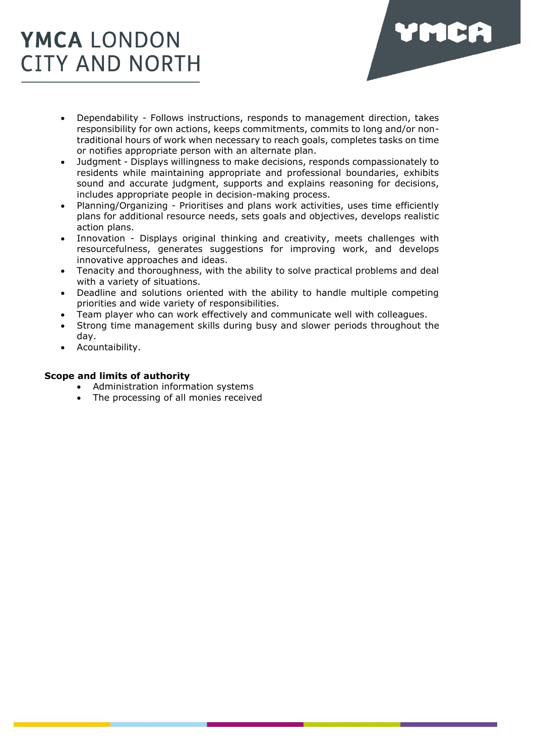

- Dependability Follows instructions, responds to management direction, takes responsibility for own actions, keeps commitments, commits to long and/or nontraditional hours of work when necessary to reach goals, completes tasks on time or notifies appropriate person with an alternate plan.
- Judgment Displays willingness to make decisions, responds compassionately to residents while maintaining appropriate and professional boundaries, exhibits sound and accurate judgment, supports and explains reasoning for decisions, includes appropriate people in decision-making process.
- Planning/Organizing Prioritises and plans work activities, uses time efficiently plans for additional resource needs, sets goals and objectives, develops realistic action plans.
- Innovation Displays original thinking and creativity, meets challenges with resourcefulness, generates suggestions for improving work, and develops innovative approaches and ideas.
- Tenacity and thoroughness, with the ability to solve practical problems and deal with a variety of situations.
- Deadline and solutions oriented with the ability to handle multiple competing priorities and wide variety of responsibilities.
- Team player who can work effectively and communicate well with colleagues.
- Strong time management skills during busy and slower periods throughout the day.
- Acountaibility.

# **Scope and limits of authority**

- Administration information systems
- The processing of all monies received